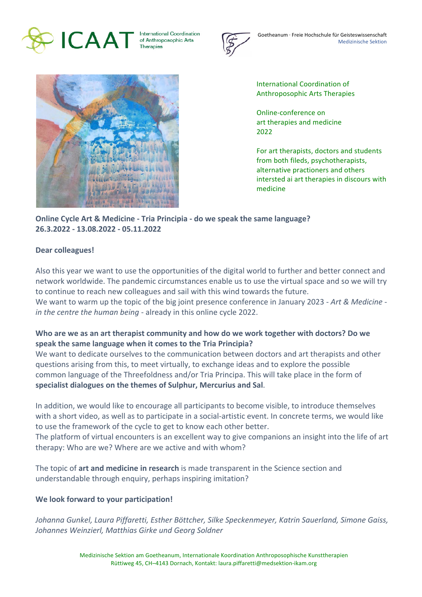

**International Coordination** of Anthroposophic Arts Therapies



Goetheanum · Freie Hochschule für Geisteswissenschaft Medizinische Sektion



International Coordination of Anthroposophic Arts Therapies

Online-conference on art therapies and medicine 2022

For art therapists, doctors and students from both fileds, psychotherapists, alternative practioners and others intersted ai art therapies in discours with medicine

**Online Cycle Art & Medicine - Tria Principia - do we speak the same language? 26.3.2022 - 13.08.2022 - 05.11.2022**

## **Dear colleagues!**

Also this year we want to use the opportunities of the digital world to further and better connect and network worldwide. The pandemic circumstances enable us to use the virtual space and so we will try to continue to reach new colleagues and sail with this wind towards the future. We want to warm up the topic of the big joint presence conference in January 2023 - *Art & Medicine in the centre the human being* - already in this online cycle 2022.

## Who are we as an art therapist community and how do we work together with doctors? Do we speak the same language when it comes to the Tria Principia?

We want to dedicate ourselves to the communication between doctors and art therapists and other questions arising from this, to meet virtually, to exchange ideas and to explore the possible common language of the Threefoldness and/or Tria Principa. This will take place in the form of specialist dialogues on the themes of Sulphur, Mercurius and Sal.

In addition, we would like to encourage all participants to become visible, to introduce themselves with a short video, as well as to participate in a social-artistic event. In concrete terms, we would like to use the framework of the cycle to get to know each other better.

The platform of virtual encounters is an excellent way to give companions an insight into the life of art therapy: Who are we? Where are we active and with whom?

The topic of **art and medicine in research** is made transparent in the Science section and understandable through enquiry, perhaps inspiring imitation?

## We look forward to your participation!

*Johanna Gunkel, Laura Piffaretti, Esther Böttcher, Silke Speckenmeyer, Katrin Sauerland, Simone Gaiss,* Johannes Weinzierl, Matthias Girke und Georg Soldner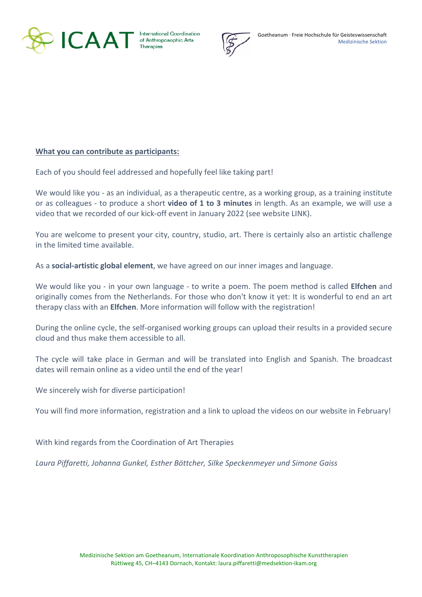

International Coordination



## **What you can contribute as participants:**

Each of you should feel addressed and hopefully feel like taking part!

We would like you - as an individual, as a therapeutic centre, as a working group, as a training institute or as colleagues - to produce a short **video of 1 to 3 minutes** in length. As an example, we will use a video that we recorded of our kick-off event in January 2022 (see website LINK).

You are welcome to present your city, country, studio, art. There is certainly also an artistic challenge in the limited time available.

As a **social-artistic global element**, we have agreed on our inner images and language.

We would like you - in your own language - to write a poem. The poem method is called **Elfchen** and originally comes from the Netherlands. For those who don't know it yet: It is wonderful to end an art therapy class with an **Elfchen**. More information will follow with the registration!

During the online cycle, the self-organised working groups can upload their results in a provided secure cloud and thus make them accessible to all.

The cycle will take place in German and will be translated into English and Spanish. The broadcast dates will remain online as a video until the end of the year!

We sincerely wish for diverse participation!

You will find more information, registration and a link to upload the videos on our website in February!

With kind regards from the Coordination of Art Therapies

Laura Piffaretti, Johanna Gunkel, Esther Böttcher, Silke Speckenmeyer und Simone Gaiss